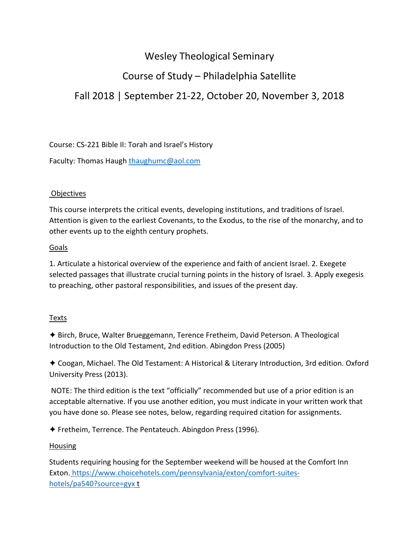## Wesley Theological Seminary

# Course of Study – Philadelphia Satellite

## Fall 2018 | September 21‐22, October 20, November 3, 2018

Course: CS‐221 Bible II: Torah and Israel's History

Faculty: Thomas Haugh thaughumc@aol.com

### Objectives

This course interprets the critical events, developing institutions, and traditions of Israel. Attention is given to the earliest Covenants, to the Exodus, to the rise of the monarchy, and to other events up to the eighth century prophets.

#### Goals

1. Articulate a historical overview of the experience and faith of ancient Israel. 2. Exegete selected passages that illustrate crucial turning points in the history of Israel. 3. Apply exegesis to preaching, other pastoral responsibilities, and issues of the present day.

#### **Texts**

✦ Birch, Bruce, Walter Brueggemann, Terence Fretheim, David Peterson. A Theological Introduction to the Old Testament, 2nd edition. Abingdon Press (2005)

✦ Coogan, Michael. The Old Testament: A Historical & Literary Introduction, 3rd edition. Oxford University Press (2013).

NOTE: The third edition is the text "officially" recommended but use of a prior edition is an acceptable alternative. If you use another edition, you must indicate in your written work that you have done so. Please see notes, below, regarding required citation for assignments.

✦ Fretheim, Terrence. The Pentateuch. Abingdon Press (1996).

### Housing

Students requiring housing for the September weekend will be housed at the Comfort Inn Exton. https://www.choicehotels.com/pennsylvania/exton/comfort-suiteshotels/pa540?source=gyx t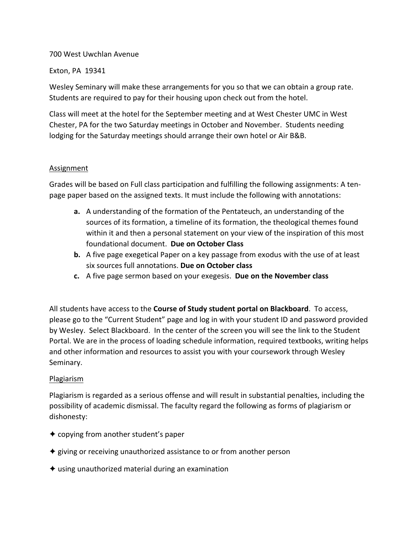#### 700 West Uwchlan Avenue

#### Exton, PA 19341

Wesley Seminary will make these arrangements for you so that we can obtain a group rate. Students are required to pay for their housing upon check out from the hotel.

Class will meet at the hotel for the September meeting and at West Chester UMC in West Chester, PA for the two Saturday meetings in October and November. Students needing lodging for the Saturday meetings should arrange their own hotel or Air B&B.

#### **Assignment**

Grades will be based on Full class participation and fulfilling the following assignments: A ten‐ page paper based on the assigned texts. It must include the following with annotations:

- **a.** A understanding of the formation of the Pentateuch, an understanding of the sources of its formation, a timeline of its formation, the theological themes found within it and then a personal statement on your view of the inspiration of this most foundational document. **Due on October Class**
- **b.** A five page exegetical Paper on a key passage from exodus with the use of at least six sources full annotations. **Due on October class**
- **c.** A five page sermon based on your exegesis. **Due on the November class**

All students have access to the **Course of Study student portal on Blackboard**. To access, please go to the "Current Student" page and log in with your student ID and password provided by Wesley. Select Blackboard. In the center of the screen you will see the link to the Student Portal. We are in the process of loading schedule information, required textbooks, writing helps and other information and resources to assist you with your coursework through Wesley Seminary.

### Plagiarism

Plagiarism is regarded as a serious offense and will result in substantial penalties, including the possibility of academic dismissal. The faculty regard the following as forms of plagiarism or dishonesty:

- ✦ copying from another student's paper
- ✦ giving or receiving unauthorized assistance to or from another person
- $\triangleq$  using unauthorized material during an examination